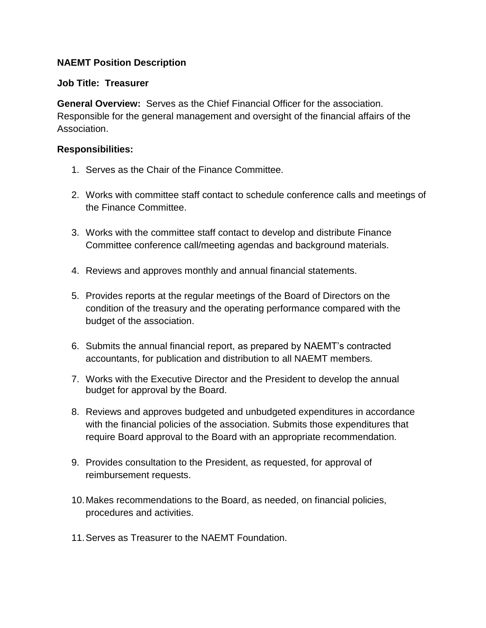## **NAEMT Position Description**

## **Job Title: Treasurer**

**General Overview:** Serves as the Chief Financial Officer for the association. Responsible for the general management and oversight of the financial affairs of the Association.

## **Responsibilities:**

- 1. Serves as the Chair of the Finance Committee.
- 2. Works with committee staff contact to schedule conference calls and meetings of the Finance Committee.
- 3. Works with the committee staff contact to develop and distribute Finance Committee conference call/meeting agendas and background materials.
- 4. Reviews and approves monthly and annual financial statements.
- 5. Provides reports at the regular meetings of the Board of Directors on the condition of the treasury and the operating performance compared with the budget of the association.
- 6. Submits the annual financial report, as prepared by NAEMT's contracted accountants, for publication and distribution to all NAEMT members.
- 7. Works with the Executive Director and the President to develop the annual budget for approval by the Board.
- 8. Reviews and approves budgeted and unbudgeted expenditures in accordance with the financial policies of the association. Submits those expenditures that require Board approval to the Board with an appropriate recommendation.
- 9. Provides consultation to the President, as requested, for approval of reimbursement requests.
- 10.Makes recommendations to the Board, as needed, on financial policies, procedures and activities.
- 11.Serves as Treasurer to the NAEMT Foundation.